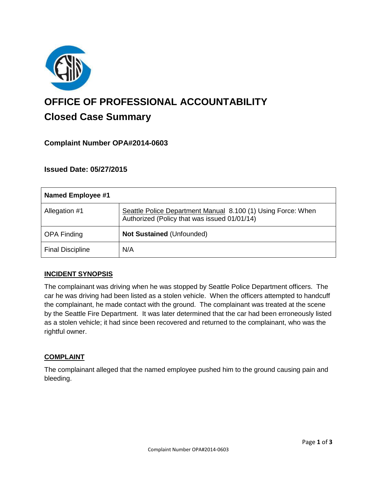

# **OFFICE OF PROFESSIONAL ACCOUNTABILITY Closed Case Summary**

# **Complaint Number OPA#2014-0603**

## **Issued Date: 05/27/2015**

| Named Employee #1       |                                                                                                              |
|-------------------------|--------------------------------------------------------------------------------------------------------------|
| Allegation #1           | Seattle Police Department Manual 8.100 (1) Using Force: When<br>Authorized (Policy that was issued 01/01/14) |
| <b>OPA Finding</b>      | <b>Not Sustained (Unfounded)</b>                                                                             |
| <b>Final Discipline</b> | N/A                                                                                                          |

## **INCIDENT SYNOPSIS**

The complainant was driving when he was stopped by Seattle Police Department officers. The car he was driving had been listed as a stolen vehicle. When the officers attempted to handcuff the complainant, he made contact with the ground. The complainant was treated at the scene by the Seattle Fire Department. It was later determined that the car had been erroneously listed as a stolen vehicle; it had since been recovered and returned to the complainant, who was the rightful owner.

#### **COMPLAINT**

The complainant alleged that the named employee pushed him to the ground causing pain and bleeding.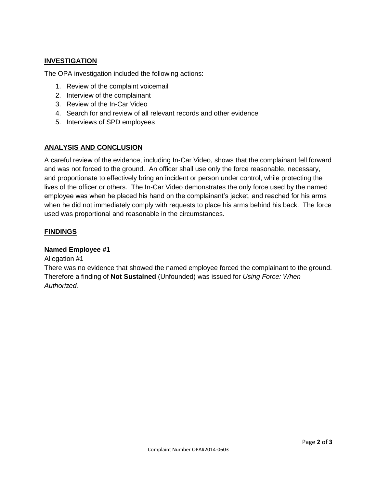## **INVESTIGATION**

The OPA investigation included the following actions:

- 1. Review of the complaint voicemail
- 2. Interview of the complainant
- 3. Review of the In-Car Video
- 4. Search for and review of all relevant records and other evidence
- 5. Interviews of SPD employees

## **ANALYSIS AND CONCLUSION**

A careful review of the evidence, including In-Car Video, shows that the complainant fell forward and was not forced to the ground. An officer shall use only the force reasonable, necessary, and proportionate to effectively bring an incident or person under control, while protecting the lives of the officer or others. The In-Car Video demonstrates the only force used by the named employee was when he placed his hand on the complainant's jacket, and reached for his arms when he did not immediately comply with requests to place his arms behind his back. The force used was proportional and reasonable in the circumstances.

## **FINDINGS**

## **Named Employee #1**

Allegation #1

There was no evidence that showed the named employee forced the complainant to the ground. Therefore a finding of **Not Sustained** (Unfounded) was issued for *Using Force: When Authorized.*